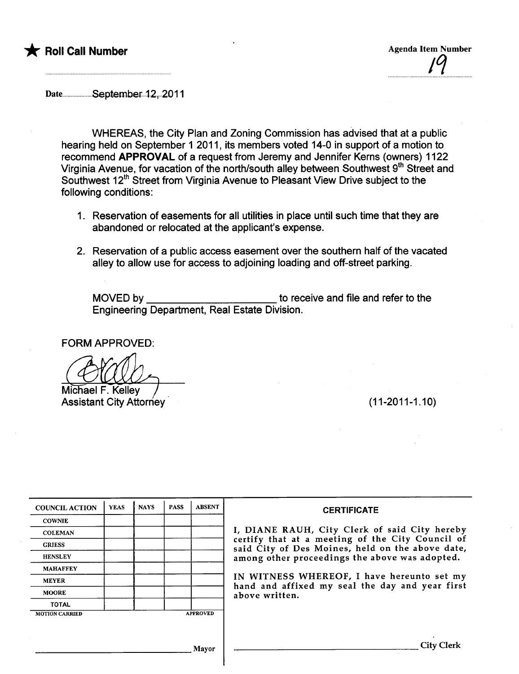

¡q

Date..................September..12, 2011

WHEREAS, the City Plan and Zoning Commission has advised that at a public hearing held on September 1 2011, its members voted 14-0 in support of a motion to recommend APPROVAL of a request from Jeremy and Jennifer Kerns (owners) 1122 Virginia Avenue, for vacation of the north/south alley between Southwest 9<sup>th</sup> Street and Southwest 12<sup>th</sup> Street from Virginia Avenue to Pleasant View Drive subject to the following conditions:

- 1. Reservation of easements for all utilities in place until such time that they are abandoned or relocated at the applicant's expense.
- 2. Reservation of a public access easement over the southern half of the vacated alley to allow use for access to adjoining loading and off-street parking.

MOVED by to receive and file and refer to the Engineering Department, Real Estate Division.

FORM APPROVED:

Michael F. Kelley Assistant City Attorney. (11-2011-1.10)

| <b>COUNCIL ACTION</b> | <b>YEAS</b> | <b>NAYS</b> | <b>PASS</b> | <b>ABSENT</b>   | <b>CERTIFICATE</b>                                                                                   |
|-----------------------|-------------|-------------|-------------|-----------------|------------------------------------------------------------------------------------------------------|
| <b>COWNIE</b>         |             |             |             |                 |                                                                                                      |
| <b>COLEMAN</b>        |             |             |             |                 | I, DIANE RAUH, City Clerk of said City hereby                                                        |
| <b>GRIESS</b>         |             |             |             |                 | certify that at a meeting of the City Council of<br>said City of Des Moines, held on the above date, |
| <b>HENSLEY</b>        |             |             |             |                 | among other proceedings the above was adopted.                                                       |
| <b>MAHAFFEY</b>       |             |             |             |                 |                                                                                                      |
| <b>MEYER</b>          |             |             |             |                 | IN WITNESS WHEREOF, I have hereunto set my<br>hand and affixed my seal the day and year first        |
| <b>MOORE</b>          |             |             |             |                 | above written.                                                                                       |
| <b>TOTAL</b>          |             |             |             |                 |                                                                                                      |
| <b>MOTION CARRIED</b> |             |             |             | <b>APPROVED</b> |                                                                                                      |
|                       |             |             |             |                 |                                                                                                      |
|                       |             |             |             |                 |                                                                                                      |
|                       |             |             |             | Mavor           |                                                                                                      |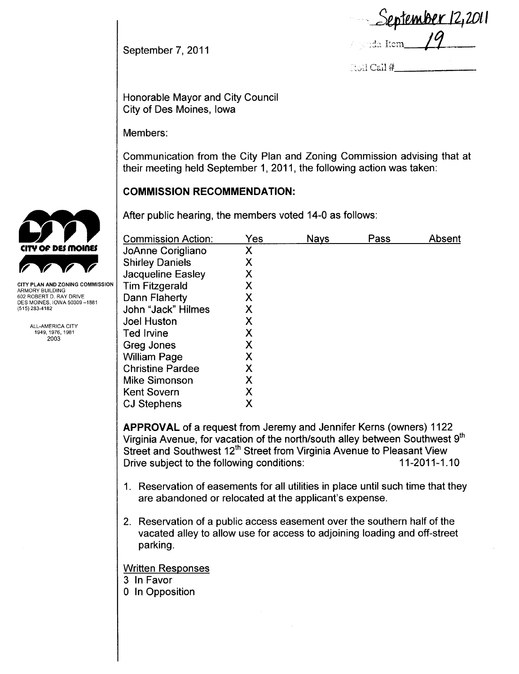September 12,2011  $/$ iyinda Item  $\overline{\phantom{a}}$ 

 $\operatorname{Coll}$  Cail  $\#$ 

Honorable Mayor and City Council City of Des Moines, Iowa

Members:

September 7, 2011

Communication from the City Plan and Zoning Commission advising that at their meeting held September 1,2011, the following action was taken:

## **COMMISSION RECOMMENDATION:**

After public hearing, the members voted 14-0 as follows:

| <b>Commission Action:</b> | Yes | <b>Nays</b> | Pass | Absent |
|---------------------------|-----|-------------|------|--------|
| JoAnne Corigliano         | Χ   |             |      |        |
| <b>Shirley Daniels</b>    | Χ   |             |      |        |
| Jacqueline Easley         | Χ   |             |      |        |
| <b>Tim Fitzgerald</b>     | Χ   |             |      |        |
| Dann Flaherty             | Χ   |             |      |        |
| John "Jack" Hilmes        | Χ   |             |      |        |
| <b>Joel Huston</b>        | Χ   |             |      |        |
| <b>Ted Irvine</b>         | Χ   |             |      |        |
| Greg Jones                | Χ   |             |      |        |
| <b>William Page</b>       | Χ   |             |      |        |
| <b>Christine Pardee</b>   | Χ   |             |      |        |
| <b>Mike Simonson</b>      | Χ   |             |      |        |
| <b>Kent Sovern</b>        | Χ   |             |      |        |
| <b>CJ Stephens</b>        | Х   |             |      |        |

APPROVAL of a request from Jeremy and Jennifer Kerns (owners) 1122 Virginia Avenue, for vacation of the north/south alley between Southwest 9<sup>th</sup> Street and Southwest 12<sup>th</sup> Street from Virginia Avenue to Pleasant View Drive subject to the following conditions: 11-2011-1.10

- 1. Reservation of easements for all utilities in place until such time that they are abandoned or relocated at the applicant's expense.
- 2. Reservation of a public access easement over the southern half of the vacated alley to allow use for access to adjoining loading and off-street parking.

#### Written Responses

- 3 In Favor
- o In Opposition



CITY PLAN AND ZONING COMMISSION ARMORY BUILDING 602 ROBERT D. RAY DRIVE DES MOINES, IOWA 50309-1881 (515) 283-4182

> ALL-AMERICA CITY 1949.1976,1981 2003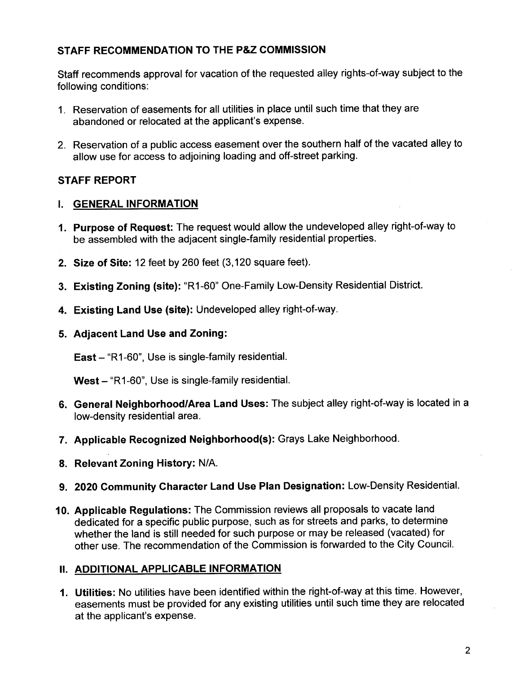# STAFF RECOMMENDATION TO THE P&Z COMMISSION

Staff recommends approval for vacation of the requested alley rights-of-way subject to the following conditions:

- 1. Reservation of easements for all utilities in place until such time that they are abandoned or relocated at the applicant's expense.
- 2. Reservation of a public access easement over the southern half of the vacated alley to allow use for access to adjoining loading and off-street parking.

# STAFF REPORT

## i. GENERAL INFORMATION

- 1. Purpose of Request: The request would allow the undeveloped alley right-of-way to be assembled with the adjacent single-family residential properties.
- 2. Size of Site: 12 feet by 260 feet (3,120 square feet).
- 3. Existing Zoning (site): "R1-60" One-Family Low-Density Residential District.
- 4. Existing Land Use (site): Undeveloped alley right-of-way.
- 5. Adjacent Land Use and Zoning:

East - "R1-60", Use is single-family residential.

West - "R1-60", Use is single-family residential.

- 6. General Neighborhood/Area Land Uses: The subject alley right-of-way is located in a low-density residential area.
- 7. Applicable Recognized Neighborhood(s): Grays Lake Neighborhood.
- 8. Relevant Zoning History: N/A.
- 9. 2020 Community Character Land Use Plan Designation: Low-Density ResidentiaL.
- 10. Applicable Regulations: The Commission reviews all proposals to vacate land dedicated for a specific public purpose, such as for streets and parks, to determine whether the land is still needed for such purpose or may be released (vacated) for other use. The recommendation of the Commission is forwarded to the City CounciL.

## II. ADDITIONAL APPLICABLE INFORMATION

1. Utilities: No utilities have been identified within the right-of-way at this time. However, easements must be provided for any existing utilities until such time they are relocated at the applicant's expense.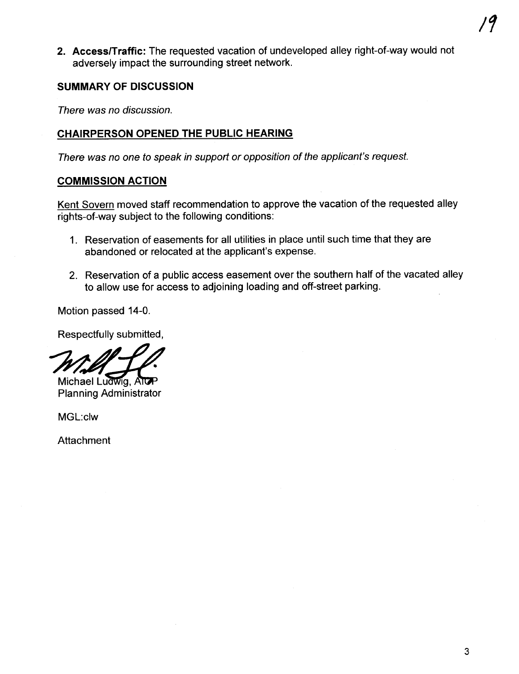2. Access/Traffic: The requested vacation of undeveloped alley right-of-way would not adversely impact the surrounding street network.

#### SUMMARY OF DISCUSSION

There was no discussion.

## CHAIRPERSON OPENED THE PUBLIC HEARING

There was no one to speak in support or oppositon of the applicant's request.

## COMMISSION ACTION

Kent Sovern moved staff recommendation to approve the vacation of the requested alley rights-of-way subject to the following conditions:

- 1. Reservation of easements for all utilities in place until such time that they are abandoned or relocated at the applicant's expense.
- 2. Reservation of a public access easement over the southern half of the vacated alley to allow use for access to adjoining loading and off-street parking.

Motion passed 14-0.

Respectfully submitted,

Wischael Ludwig, Altren<br>Planning Administrator

MGL:clw

Attachment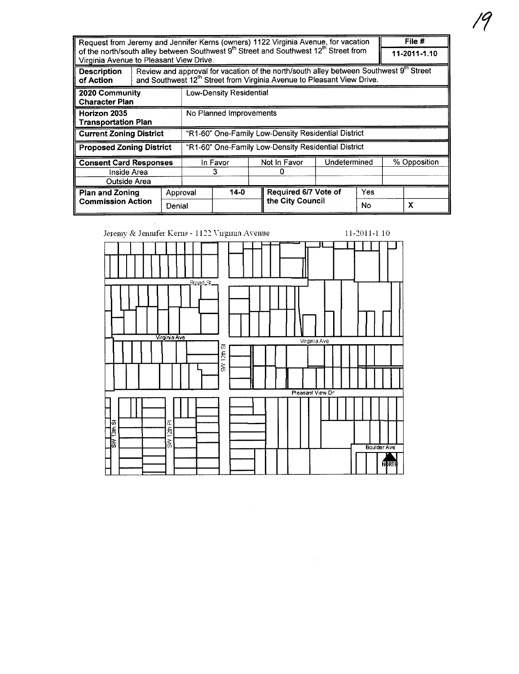| Request from Jeremy and Jennifer Kerns (owners) 1122 Virginia Avenue, for vacation                                                                      |                                                     |          |                                                                                                                                                                                          |  |                                          |              | File #       |              |   |
|---------------------------------------------------------------------------------------------------------------------------------------------------------|-----------------------------------------------------|----------|------------------------------------------------------------------------------------------------------------------------------------------------------------------------------------------|--|------------------------------------------|--------------|--------------|--------------|---|
| of the north/south alley between Southwest 9 <sup>th</sup> Street and Southwest 12 <sup>th</sup> Street from<br>Virginia Avenue to Pleasant View Drive. |                                                     |          |                                                                                                                                                                                          |  |                                          |              | 11-2011-1.10 |              |   |
| <b>Description</b><br>of Action                                                                                                                         |                                                     |          | Review and approval for vacation of the north/south alley between Southwest 9 <sup>th</sup> Street<br>and Southwest 12 <sup>th</sup> Street from Virginia Avenue to Pleasant View Drive. |  |                                          |              |              |              |   |
| 2020 Community<br><b>Character Plan</b>                                                                                                                 | <b>Low-Density Residential</b>                      |          |                                                                                                                                                                                          |  |                                          |              |              |              |   |
| Horizon 2035<br><b>Transportation Plan</b>                                                                                                              | No Planned Improvements                             |          |                                                                                                                                                                                          |  |                                          |              |              |              |   |
| <b>Current Zoning District</b>                                                                                                                          | "R1-60" One-Family Low-Density Residential District |          |                                                                                                                                                                                          |  |                                          |              |              |              |   |
| <b>Proposed Zoning District</b>                                                                                                                         | "R1-60" One-Family Low-Density Residential District |          |                                                                                                                                                                                          |  |                                          |              |              |              |   |
| <b>Consent Card Responses</b><br>Inside Area                                                                                                            |                                                     |          | In Favor<br>З                                                                                                                                                                            |  | Not In Favor                             | Undetermined |              | % Opposition |   |
| Outside Area                                                                                                                                            |                                                     |          |                                                                                                                                                                                          |  |                                          |              |              |              |   |
| <b>Plan and Zoning</b><br><b>Commission Action</b>                                                                                                      |                                                     | Approval | $14-0$                                                                                                                                                                                   |  | Required 6/7 Vote of<br>the City Council |              | Yes          |              |   |
|                                                                                                                                                         | Denial                                              |          |                                                                                                                                                                                          |  |                                          |              | No           |              | X |

| Jeremy & Jennifer Kerns - 1122 Virginia Avenue                           |                                  |                  | 11-2011-1.10       |
|--------------------------------------------------------------------------|----------------------------------|------------------|--------------------|
|                                                                          |                                  |                  |                    |
| Broad St.<br>Virginia Ave                                                |                                  | Virginia Ave     |                    |
|                                                                          | 12拍 64<br>$\tilde{\vec{\delta}}$ |                  |                    |
|                                                                          |                                  | Pleasant View Dr |                    |
|                                                                          |                                  |                  |                    |
| <b>13th St</b><br>12th Pl<br>$\overline{\widetilde{\mathfrak{G}}}$<br>ြိ |                                  |                  | <b>Boulder Ave</b> |
|                                                                          |                                  |                  | <b>NORTH</b>       |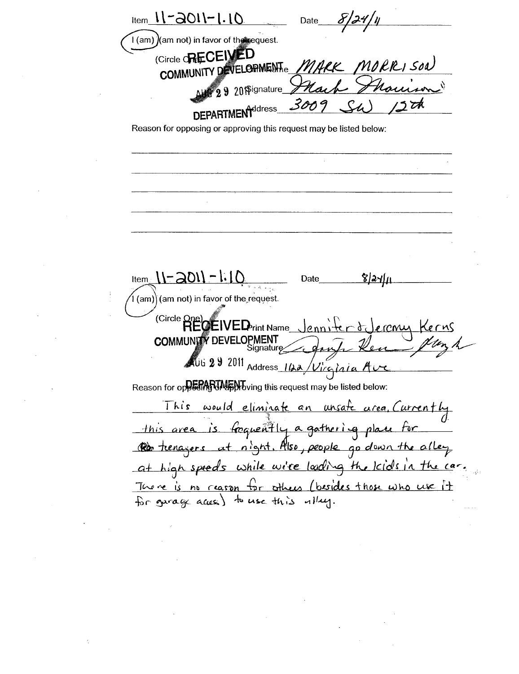$l_{\text{Item}}$   $11 - 2011 - 1.10$ Date I (am) (am not) in favor of the request. (Circle **RECEIVED** MARK MORRISON COMMUNITY DEVELOPMENTe L Marion  $\textcolor{blue}{\mathbf{M}}\textcolor{blue}{\bullet} \textcolor{blue}{\mathbf{29}} \textcolor{blue}{\mathbf{30}} \textcolor{red}{\mathbf{19}} \textcolor{blue}{\mathbf{90}} \textcolor{red}{\mathbf{190}} \textcolor{red}{\mathbf{190}} \textcolor{red}{\mathbf{190}} \textcolor{red}{\mathbf{190}} \textcolor{red}{\mathbf{190}} \textcolor{red}{\mathbf{190}} \textcolor{red}{\mathbf{190}} \textcolor{red}{\mathbf{190}} \textcolor{red}{\mathbf{190}} \textcolor{red}{\mathbf{190}} \textcolor{red}{\$ 300 **DEPARTMENT**ddress Reason for opposing or approving this request may be listed below:  $11 = 201 - 1.10$ Date <u>8|24|11</u> (am) (am not) in favor of the request. (Circle One)<br>RECEIVED rint Name delerenu Kerns **COMMUNITY DEVELOPMENT** dan AUG 29 2011 Address 1122/Viginia Ave Reason for oppering UM by this request may be listed below: This would eliminate an unsate area, Currently this area is forquently a gathering place for Rob tenagers at night. Also, people go down the alley at high speeds while wire loading the kids in the car. There is no reason for others (besides those who use it for garage access) to use this ulley.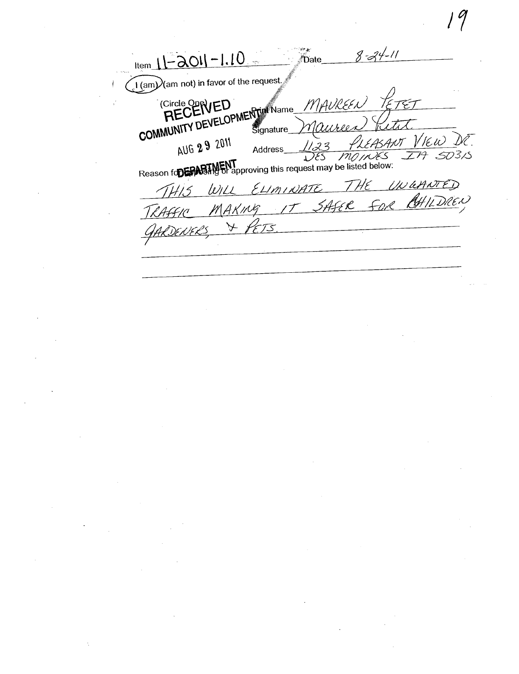$8 - 24 - 11$  $11 - 201 - 1.10$ **Date**  $\widetilde{\mathcal{A}}$  (am $\mathcal{Y}$ (am not) in favor of the request KEUEIVEL MERTIN Name MAUREEN ビュナ EASANT VIEW AUG 29 2011  $123$ **Address**  $\overline{503}$ 15  $\overline{ZH}$ MOINES YES. Reason for the Reason for the Reason for the Reason for the supervisor of this request may be listed below: UNGANTED WILL ELIMINATE  $15$ **AHILDREN** IT SAfER FOR MAKING GARDENERS  $\lambda$ 73